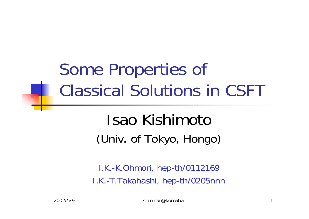# Some Properties of Classical Solutions in CSFT

## Isao Kishimoto(Univ. of Tokyo, Hongo)

I.K.-K.Ohmori, hep-th/0112169 I.K.-T.Takahashi, hep-th/0205nnn

2002/5/9 seminar@komaba 1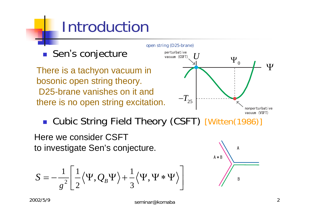# Introduction



**Cubic String Field Theory (CSFT) [Witten(1986)]** 

Here we consider CSFT to investigate Sen's conjecture.

$$
S = -\frac{1}{g^2} \left[ \frac{1}{2} \langle \Psi, Q_B \Psi \rangle + \frac{1}{3} \langle \Psi, \Psi * \Psi \rangle \right]
$$

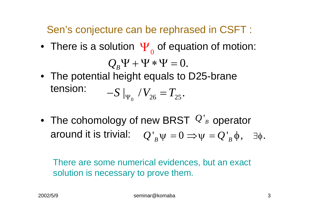Sen's conjecture can be rephrased in CSFT :

- There is a solution  $\Psi_{_{0}}$  of equation of motion:  $Q_{\scriptscriptstyle B} \Psi$  +  $\Psi$   $*$   $\Psi$  =  $0$ .
- The potential height equals to D25-brane tension:  $\sim$   $\frac{1}{4}$   $\frac{1}{2}$   $\frac{1}{2}$   $\frac{1}{2}$   $\frac{1}{2}$   $\frac{1}{2}$   $\frac{1}{2}$   $\frac{1}{2}$   $\frac{1}{2}$   $\frac{1}{2}$   $\frac{1}{2}$  $S\mid_{\Psi_{\alpha}}' / V_{26} = T_{25}.$
- The cohomology of new BRST  $Q'_B$  operator around it is trivial:  $\left[Q\right]_B^{\cdot}\psi=0 \Longrightarrow \psi=Q\left[ \right]_B^{\cdot}\phi, \quad \exists \phi.$

There are some numerical evidences, but an exact solution is necessary to prove them.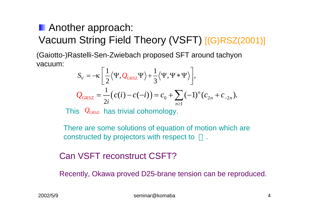#### **Another approach:** Vacuum String Field Theory (VSFT) [(G)RSZ(2001)]

(Gaiotto-)Rastelli-Sen-Zwiebach proposed SFT around tachyon vacuum:

$$
S_V = -\kappa \left[ \frac{1}{2} \langle \Psi, Q_{GRSZ} \Psi \rangle + \frac{1}{3} \langle \Psi, \Psi * \Psi \rangle \right],
$$
  

$$
Q_{GRSZ} = \frac{1}{2i} \left( c(i) - c(-i) \right) = c_0 + \sum_{n \ge 1} (-1)^n (c_{2n} + c_{-2n}).
$$

This  $\mathcal{Q}_{\text{\tiny{GRSZ}}}$  has trivial cohomology.

There are some solutions of equation of motion which are constructed by projectors with respect to .

#### Can VSFT reconstruct CSFT?

Recently, Okawa proved D25-brane tension can be reproduced.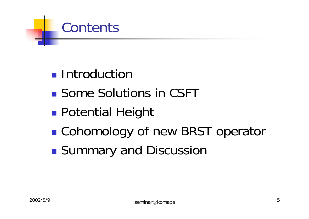### Contents

- **Introduction**
- Some Solutions in CSFT
- $\mathbb{R}^2$ **Potential Height**
- ■ Cohomology of new BRST operator
- $\mathbb{R}^2$ **Summary and Discussion**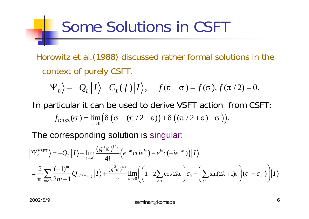## Some Solutions in CSFT

Horowitz et al.(1988) discussed rather formal solutions in the context of purely CSFT.

$$
\Psi_0 = -Q_L |I\rangle + C_L(f)|I\rangle, \quad f(\pi - \sigma) = f(\sigma), f(\pi / 2) = 0.
$$

In particular it can be used to derive VSFT action from CSFT:  $f_{GRSZ}(\sigma) = \lim_{\epsilon \to 0} (\delta (\sigma - (\pi / 2 - \epsilon)) + \delta ((\pi / 2 + \epsilon) - \sigma)).$ 

The corresponding solution is singular:

$$
\Psi_0^{\text{VSFT}}\Big\rangle = -Q_L|I\rangle + \lim_{\varepsilon \to 0} \frac{(g^2 \kappa)^{1/3}}{4i} \Big(e^{-i\varepsilon} c(ie^{i\varepsilon}) - e^{i\varepsilon} c(-ie^{-i\varepsilon})\Big)|I\rangle
$$
  
=  $\frac{2}{\pi} \sum_{m\geq 0} \frac{(-1)^m}{2m+1} Q_{-(2m+1)}|I\rangle + \frac{(g^2 \kappa)^{1/3}}{2} \lim_{\varepsilon \to 0} \Biggl( \Biggl(1 + 2 \sum_{k\geq 1} \cos 2k\varepsilon \Biggr) c_0 - \Biggl( \sum_{k\geq 0} \sin(2k+1)\varepsilon \Biggr) (c_1 - c_{-1}) \Biggr)|I\rangle$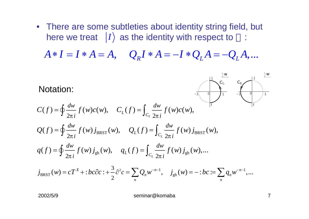• There are some subtleties about identity string field, but here we treat  $|I\rangle$  as the identity with respect to  $\cdot$ 

 $A * I = I * A = A, \quad Q_R I * A = -I * Q_L A = -Q_L A, ...$ ∗=∗ *I I A* = *A Q I A*<sup>∗</sup> = − $-I * Q_{\overline{I}} A =$ − $-Q_{\overline{I}}A$ 

Notation:

$$
C(f) = \oint \frac{dw}{2\pi i} f(w)c(w), \quad C_L(f) = \int_{C_L} \frac{dw}{2\pi i} f(w)c(w),
$$
  
\n
$$
Q(f) = \oint \frac{dw}{2\pi i} f(w) j_{BRST}(w), \quad Q_L(f) = \int_{C_L} \frac{dw}{2\pi i} f(w) j_{BRST}(w),
$$
  
\n
$$
q(f) = \oint \frac{dw}{2\pi i} f(w) j_{gh}(w), \quad q_L(f) = \int_{C_L} \frac{dw}{2\pi i} f(w) j_{gh}(w),...
$$

$$
j_{BRST}(w) = cT^X + :bc\partial c : + \frac{3}{2}\partial^2 c = \sum_n Q_n w^{-n-1}, \quad j_{gh}(w) = -:bc := \sum_n q_n w^{-n-1},...
$$

2002/5/9 seminar@komaba 7

*w*

-1 0 1

*i*

 $C_{\mathbb L}$ 

-1 0 1

*w*

 $\frac{i}{C_{\rm L}}$  *C*<sub>R</sub>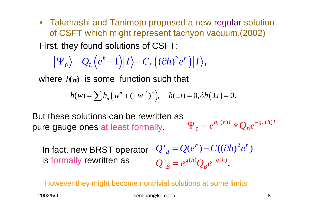• Takahashi and Tanimoto proposed a new regular solution of CSFT which might represent tachyon vacuum.(2002) First, they found solutions of CSFT:

$$
\left|\Psi_{0}\right\rangle = Q_{L}\left(e^{h}-1\right)\left|I\right\rangle - C_{L}\left(\left(\partial h\right)^{2}e^{h}\right)\left|I\right\rangle,
$$

where  $h(w)$  is some function such that

$$
h(w) = \sum h_n \left( w^n + (-w^{-1})^n \right), \quad h(\pm i) = 0, \partial h(\pm i) = 0.
$$

 $(h)I \sim \Omega^{-q_L(h)}$ 0 $q_L(h)I \triangleleft q_L(h)I$  $e^{q_L(n)I} * Q_B e$  $\Psi_{\alpha} = e^{q_L(n)I} * O_{\alpha}e^{-I}$ But these solutions can be rewritten as pure gauge ones at least formally.

 $Q'_{B} = Q(e^{h}) - C((\partial h)^{2}e^{h})$  $Q'_{\;\;B} = e^{q(h)}Q_{\;B}e^{-q(h)}.$  $=e^{q(n)}Q_{p}e^{-}$ In fact, new BRST operator is formally rewritten as

Howev er they might become nontrivial solutions at some limits.

2002/5/9 seminar@komaba 8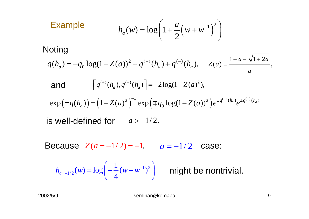$$
h_a(w) = \log\left(1 + \frac{a}{2}\left(w + w^{-1}\right)^2\right)
$$

#### **Noting**

**Example** 

$$
q(h_a) = -q_0 \log(1 - Z(a))^2 + q^{(+)}(h_a) + q^{(-)}(h_a), \quad Z(a) = \frac{1 + a - \sqrt{1 + 2a}}{a},
$$

and 
$$
\[q^{(+)}(h_a), q^{(-)}(h_a)\] = -2\log(1 - Z(a)^2),
$$

$$
\exp(\pm q(h_a)) = (1 - Z(a)^2)^{-1} \exp(\mp q_0 \log(1 - Z(a))^2) e^{\pm q^{(-)}(h_a)} e^{\pm q^{(+)}(h_a)}
$$

 $\quad$  is well-defined for  $\quad$   $a$   $>$   $-1/2$ .

Because  $Z(a = -1/2) = -1,$   $a = -1/2$  case:

$$
h_{a=-1/2}(w) = \log\left(-\frac{1}{4}(w-w^{-1})^2\right)
$$

might be nontrivial.

Г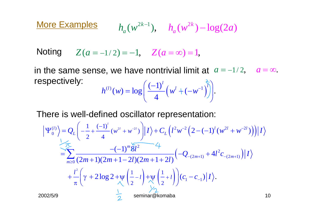**More Examples**  $h_a(w^{2k-1}), \quad h_a(w^{2k}) - \log(2a)$  $h_a(w)$ − *a*

 $Y^{(2)} = -1, Z^{(2)} = -1, Z^{(2)} = 0, Z^{(2)} = 1, Z^{(2)} = 1, Z^{(2)} = 1, Z^{(2)} = 1, Z^{(2)} = 1, Z^{(2)} = 1, Z^{(2)} = 1, Z^{(2)} = 1, Z^{(2)} = 1, Z^{(2)} = 1, Z^{(2)} = 1, Z^{(2)} = 1, Z^{(2)} = 1, Z^{(2)} = 1, Z^{(2)} = 1, Z^{(2)} = 1, Z^{(2)} = 1, Z^{(2)} = 1, Z^{(2)} = 1, Z^{(2)} = 1, Z^{(2)} = 1, Z^{(2$ 

in the same sense, we have nontrivial limit at  $\ a = -1/2$  $a = \infty$ .  $\mathcal{L}^{(l)}(w) = \log \left( \frac{(-1)^l}{4} \left( w^l + (-w^{-1}) \right) \right)$  $h^{(l)}(w) = \log \left( \frac{(-1)^l}{l} \left( w^l + (-w^{-1}) \right)^l \right)$  $=\log\left(\frac{(-1)^l}{4}\left(w^l + (-w^{-1})^l\right)\right)$ respectively:

 $4 \left( \begin{array}{cc} \cdots & \cdots & \cdots \end{array} \right)$ 

There is well-defined oscillator representation:

$$
\left| \Psi_{0}^{(l)} \right\rangle = Q_{L} \left( -\frac{1}{2} + \frac{(-1)^{l}}{4} (w^{2l} + w^{2l}) \right) \left| I \right\rangle + C_{L} \left( l^{2} w^{-2} \left( 2 - (-1)^{l} (w^{2l} + w^{-2l}) \right) \right) \left| I \right\rangle
$$
  
\n
$$
= \sum_{m \geq 0} \frac{-(-1)^{m} \sqrt[2]{2}}{(2m+1)(2m+1-2l)(2m+1+2l)} \left( -Q_{-(2m+1)} + 4l^{2} c_{-(2m+1)} \right) \left| I \right\rangle
$$
  
\n
$$
+ \frac{l^{2}}{\pi} \left( \gamma + 2 \log 2 + \psi \left( \frac{1}{2} - l \right) + \psi \left( \frac{1}{2} + l \right) \right) (c_{1} - c_{-1}) \left| I \right\rangle.
$$
  
\n2002/5/9  
\n
$$
\frac{1}{2}
$$
 seminar@komaba  
\n10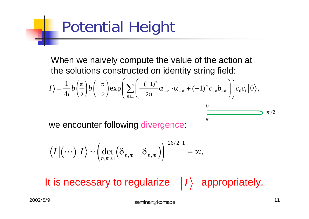# Potential Height

When we naively compute the value of the action at the solutions constructed on identity string field:

$$
|I\rangle = \frac{1}{4i}b\left(\frac{\pi}{2}\right)b\left(-\frac{\pi}{2}\right)\exp\left(\sum_{n\geq 1}\left(\frac{-(-1)^n}{2n}\alpha_{-n}\cdot\alpha_{-n}+(-1)^n c_{-n}b_{-n}\right)\right)c_0c_1|0\rangle,
$$

 $\pi$ 

we encounter following divergence:

$$
\langle I | (\cdots) | I \rangle \sim \left( \det_{n,m \geq 1} \left( \delta_{n,m} - \delta_{n,m} \right) \right)^{-26/2+1} = \infty.
$$

It is necessary to regularize  $|I\rangle$  appropriately.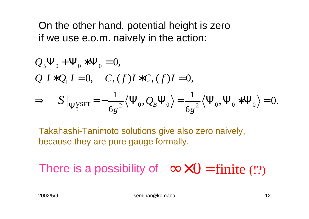On the other hand, potential height is zero if we use e.o.m. naively in the action:

$$
Q_{B}\Psi_{0} + \Psi_{0} * \Psi_{0} = 0,
$$
  
\n
$$
Q_{L}I * Q_{L}I = 0, \quad C_{L}(f)I * C_{L}(f)I = 0,
$$
  
\n
$$
\Rightarrow S|_{\Psi_{0}^{VSET}} = -\frac{1}{6g^{2}} \langle \Psi_{0}, Q_{B} \Psi_{0} \rangle = \frac{1}{6g^{2}} \langle \Psi_{0}, \Psi_{0} * \Psi_{0} \rangle = 0.
$$

Takahashi-Tanimoto solutions give also zero naively, because they are pure gauge formally.

There is a possibility of  $\infty \times 0 =$  finite (!?)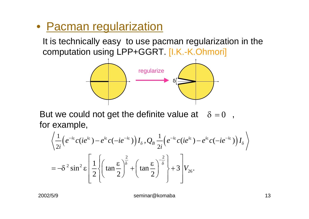#### • Pacman regularization

It is technically easy to use pacman regularization in the computation using LPP+GGRT. [I.K.-K.Ohmori]



But we could not get the definite value at  $\delta = 0$  , for example,

$$
\left\langle \frac{1}{2i} \left( e^{-i\varepsilon} c (ie^{i\varepsilon}) - e^{i\varepsilon} c (-ie^{-i\varepsilon}) \right) I_{\delta}, Q_{B} \frac{1}{2i} \left( e^{-i\varepsilon} c (ie^{i\varepsilon}) - e^{i\varepsilon} c (-ie^{-i\varepsilon}) \right) I_{\delta} \right\rangle
$$
  
=  $-\delta^{2} \sin^{2} \varepsilon \left[ \frac{1}{2} \left\{ \left( \tan \frac{\varepsilon}{2} \right)^{\frac{2}{\delta}} + \left( \tan \frac{\varepsilon}{2} \right)^{-\frac{2}{\delta}} \right\} + 3 \right] V_{26}.$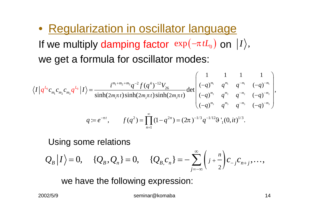• Regularization in oscillator language If we multiply damping factor  $\exp(-\pi\,tL_{_0})$  on  $|I\rangle,$ we get a formula for oscillator modes:

$$
\langle I|q^{L_{0}}c_{m_{1}}c_{m_{2}}c_{m_{3}}q^{L_{0}}|I\rangle = \frac{i^{m_{1}+m_{2}+m_{3}}q^{-2}f(q^{4})^{-12}V_{26}}{\sinh(2m_{1}\pi t)\sinh(2m_{2}\pi t)\sinh(2m_{3}\pi t)}\det\begin{pmatrix}1&1&1&1\\(-q)^{m_{1}}&q^{m_{1}}&q^{-m_{1}}&(-q)^{-m_{1}}\\(-q)^{m_{2}}&q^{m_{2}}&q^{-m_{2}}&(-q)^{-m_{2}}\\(-q)^{m_{3}}&q^{m_{3}}&q^{-m_{3}}&(-q)^{-m_{3}}\end{pmatrix},
$$
  

$$
q := e^{-\pi t}, \qquad f(q^{2}) = \prod_{n=1}^{\infty}(1-q^{2n}) = (2\pi)^{-1/3}q^{-1/12}\vartheta^{1}(0,it)^{1/3}.
$$

Using some relations

0,  $\{Q_B, Q_n\} = 0$ ,  $\{Q_B, C_n\} = -\sum_{i=-\infty}^{\infty} \left( j + \frac{n}{2} \right)$  ${ \cal G}_{\bar B} | I \rangle = 0, \hspace{3mm} \{ Q_{\bar B}, Q_{\bar n} \} = 0, \hspace{3mm} \{ Q_{\bar B,} c_{\bar n} \} = - \sum |j+\frac{1}{2}| c_{-j} c_{n+j}, \ldots,$ *j*  $Q_R|I\rangle = 0$ ,  $\{Q_R, Q_n\} = 0$ ,  $\{Q_R c_n\} = -\sum_{i=1}^n \left(\frac{1}{j} + \frac{n}{i}\right) c_{i,j} c_{i,j}$ ∞  $-1$ <sup> $n+$ </sup> =−∞ $= 0, \hspace{.2in} \{Q_{_B},Q_{_n}\} = 0, \hspace{.2in} \{Q_{_B,}c_{_n}\} = -\sum_{n=1}^{\infty}$  $+$   $\left| C \right|$   $\left| C \right|$   $\left| C \right|$   $\left| C \right|$ 

we have the following expression: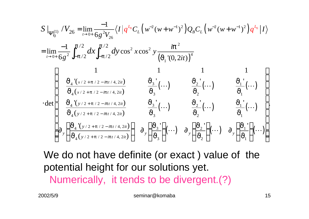$$
S \Big|_{\Psi_{0}^{(1)}} / V_{26} = \lim_{t \to 0+} \frac{-1}{6g^{2}V_{26}} \langle I \Big| q^{L_{0}} C_{L} \Big( w^{-2} (w + w^{-1})^{2} \Big) Q_{B} C_{L} \Big( w^{-2} (w + w^{-1})^{2} \Big) q^{L_{0}} \Big| I \rangle
$$
  
\n
$$
= \lim_{t \to 0+} \frac{-1}{6g^{2}} \int_{-p/2}^{p/2} dx \int_{-p/2}^{p/2} dy \cos^{2} x \cos^{2} y \frac{ip^{2}}{\Big(J_{1} \Big(0, 2it)\Big)^{4}}
$$
  
\n
$$
\int_{\frac{J_{4} \Big( x/2 + p/2 - ipt/4, 2it \Big)}{J_{4} \Big( x/2 + p/2 - ipt/4, 2it \Big)}} \frac{J_{3} \Big( ... \Big)}{J_{3}} \Big( ... \Big) \frac{J_{2} \Big( ... \Big)}{J_{2} \Big( ... \Big)} \frac{J_{1} \Big( ... \Big)}{J_{1} \Big( ... \Big)}
$$
  
\n
$$
\cdot \det \begin{pmatrix} 1 & 1 & 1 & 1 \\ \frac{J_{4} \Big( y/2 + p/2 - ipt/4, 2it \Big)}{J_{4} \Big( y/2 + p/2 - ipt/4, 2it \Big)} & \frac{J_{3} \Big( ... \Big)}{J_{3}} \Big( ... \Big) & \frac{J_{2} \Big( ... \Big)}{J_{2} \Big( ... \Big)} & \frac{J_{1} \Big( ... \Big)}{J_{1} \Big( ... \Big)} \Big)}{J_{2} \Big(J_{1} \Big( ... \Big)} \frac{J_{1} \Big( ... \Big)}{J_{4} \Big(J_{4} \Big( y/2 + p/2 - ipt/4, 2it \Big)} \Big)} \frac{J_{3} \Big( ... \Big)}{J_{3} \Big( ... \Big)} \frac{J_{3} \Big( ... \Big)}{J_{3} \Big( ... \Big)} \frac{J_{2} \Big( ... \Big)}{J_{2} \Big( ... \Big)} \frac{J_{1} \Big( ... \Big)}{J_{1} \Big( ... \Big)} \Big( ... \Big)
$$

We do not have definite (or exact ) value of the potential height for our solutions yet. Numerically, it tends to be divergent.(?)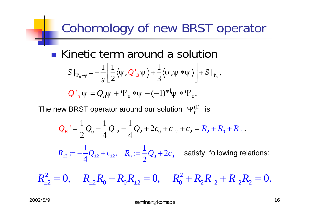## Cohomology of new BRST operator

**1** Kinetic term around a solution  
\n
$$
S|_{\Psi_0+\Psi}=-\frac{1}{g}\left[\frac{1}{2}\langle\Psi,Q_B\Psi\rangle+\frac{1}{3}\langle\Psi,\Psi*\Psi\rangle\right]+S|_{\Psi_0},
$$

$$
Q'_{B}\psi = Q_{B}\psi + \Psi_{0}*\psi - (-1)^{|\psi|}\psi * \Psi_{0}.
$$

The new BRST operator around our solution  $\Psi_{0}^{(1)}$  is

$$
Q_B' = \frac{1}{2}Q_0 - \frac{1}{4}Q_{-2} - \frac{1}{4}Q_2 + 2c_0 + c_{-2} + c_2 = R_2 + R_0 + R_{-2}.
$$

2 ·  $2 \pm 2$  ·  $2 \pm 2$  $R_{\scriptscriptstyle\pm 2}\coloneqq-\frac{1}{4}\mathcal{Q}_{\scriptscriptstyle\pm 2}+c_{\scriptscriptstyle\pm 2},\;\;\; R_{\scriptscriptstyle 0}\coloneqq\frac{1}{2}\mathcal{Q}_{\scriptscriptstyle 0}+2c_{\scriptscriptstyle 0}\;\;\;$  satisfy following relations:

2 2  $R_{\pm 2}^2 = 0, \hspace{5mm} R_{\pm 2} R_0^{} + R_0 R_{\pm 2}^{} = 0, \hspace{5mm} R_0^2 + R_2 R_{-2}^{} + R_{-2} R_2^{} = 0.$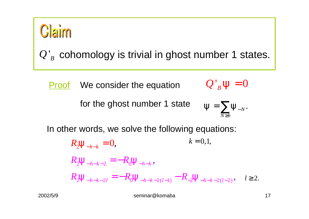

 $Q'_B$  cohomology is trivial in ghost number 1 states.

Proof We consider the equation

 $Q'_{\beta}y = 0$ 

for the ghost number 1 state

$$
\mathbf{y} = \sum_{N \geq h} \mathbf{y}_{-N}.
$$

In other words, we solve the following equations:

$$
R_2 \mathbf{y}_{-h-k} = 0, \qquad k = 0, 1,
$$
  
\n
$$
R_2 \mathbf{y}_{-h-k-2} = -R_0 \mathbf{y}_{-h-k},
$$
  
\n
$$
R_2 \mathbf{y}_{-h-k-2l} = -R_0 \mathbf{y}_{-h-k-2(l-1)} - R_2 \mathbf{y}_{-h-k-2(l-2)}, \quad l \ge 2.
$$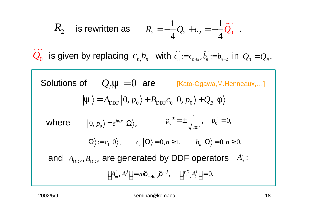$$
R_2
$$
 is rewritten as  $R_2 = -\frac{1}{4}Q_2 + c_2 = -\frac{1}{4}\widetilde{Q}_0$ .

 $Q_0$  is given by replacing  $c_n b_n$  with  $\widetilde{c_n} = c_{n+2}, \widetilde{b_n} = b_{n-2}$  in  $Q_0 = Q_B$ .

Solutions of  $Q_B y = 0$  are [Kato-Ogawa,M.Henneaux,...]  $|\mathbf{y}\rangle = A_{\text{DDE}}|0, p_{0}\rangle + B_{\text{DDE}}c_{0}|0, p_{0}\rangle + Q_{B}|f\rangle$ 0  $\langle D, p_0 \rangle = e^{ip_0 x} |\Omega \rangle,$   $p_0^- = \pm \frac{1}{\sqrt{2a}}, \quad p_0^ \langle \Omega \rangle := c_1 |0\rangle, \qquad c_n |\Omega\rangle = 0, n \ge 1, \qquad b_n |\Omega\rangle = 0, n \ge 0,$ 1  $2a'$  $p_0^{\perp} = \pm \frac{1}{\sqrt{2}}$ ,  $p_0^{\perp} = 0$ , *a* where  $|0, p_0\rangle = e^{ip_0 x} |\Omega\rangle$ ,  $p_0^{\pm} = \pm \frac{1}{\sqrt{2g_0^2}}$ ,  $p_0^{\pm} =$  $\left[ A_m^i, A_n^j \right] = m \boldsymbol{d}_{m+n,0} \boldsymbol{d}^{i,j}, \quad \left[ L_m^X A_n^i \right] = 0.$ and  $A_{\text{DDF}}, B_{\text{DDF}}$  are generated by DDF operators  $A_n^i$ :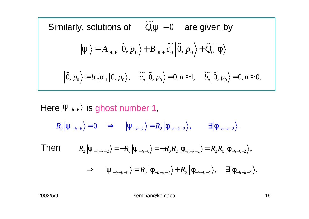Similarly, solutions of 
$$
\widetilde{Q}_0 \mathbf{y} = 0
$$
 are given by  
\n
$$
|\mathbf{y}\rangle = A_{\text{DDF}} |\widetilde{0}, p_0\rangle + B_{\text{DDF}} \widetilde{c}_0 |\widetilde{0}, p_0\rangle + \widetilde{Q}_0 |\mathbf{f}\rangle
$$
\n
$$
|\widetilde{0}, p_0\rangle := b_{-2}b_{-1}|0, p_0\rangle, \quad \widetilde{c}_n |\widetilde{0}, p_0\rangle = 0, n \ge 1, \quad \widetilde{b}_n |\widetilde{0}, p_0\rangle = 0, n \ge 0.
$$

#### Here  $|y_{\scriptscriptstyle -h-k}\rangle$  is ghost number 1,  $R_2 | \mathbf{y}_{-h-k} \rangle = 0 \Rightarrow | \mathbf{y}_{-h-k} \rangle = R_2 | \mathbf{f}_{-h-k-2} \rangle, \quad \exists | \mathbf{f}_{-h-k-2} \rangle.$  $R_2\left|\mathbf{\mathbf{\mathbf{y}}}_{-h-k-2}\right\rangle = -R_0\left|\mathbf{\mathbf{y}}_{-h-k}\right\rangle = -R_0R_2\left|\mathbf{f}_{-h-k-2}\right\rangle = R_2R_0\left|\mathbf{f}_{-h-k-2}\right\rangle,$  $\Rightarrow$   $\left| \mathbf{y}_{-h-k-2} \right\rangle = R_0 \left| \mathbf{f}_{-h-k-2} \right\rangle + R_2 \left| \mathbf{f}_{-h-k-4} \right\rangle, \quad \exists \left| \mathbf{f}_{-h-k-4} \right\rangle.$ Then

2002/5/9 seminar@komaba 19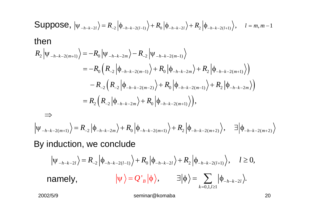Suppose, 
$$
|\psi_{-h-k-2l}\rangle = R_{-2} |\phi_{-h-k-2(l-1)}\rangle + R_0 |\phi_{-h-k-2l}\rangle + R_2 |\phi_{-h-k-2(l+1)}\rangle
$$
,  $l = m, m-1$   
\nthen  
\n
$$
R_2 |\psi_{-h-k-2(m+1)}\rangle = -R_0 |\psi_{-h-k-2m}\rangle - R_{-2} |\psi_{-h-k-2(m-1)}\rangle
$$
\n
$$
= -R_0 (R_{-2} |\phi_{-h-k-2(m-1)}\rangle + R_0 |\phi_{-h-k-2m}\rangle + R_2 |\phi_{-h-k-2(m+1)}\rangle)
$$
\n
$$
- R_{-2} (R_{-2} |\phi_{-h-k-2(m-2)}\rangle + R_0 |\phi_{-h-k-2(m-1)}\rangle + R_2 |\phi_{-h-k-2m}\rangle)
$$
\n
$$
= R_2 (R_{-2} |\phi_{-h-k-2m}\rangle + R_0 |\phi_{-h-k-2(m+1)}\rangle),
$$
\n
$$
\Rightarrow
$$
\n
$$
|\psi_{-h-k-2(m+1)}\rangle = R_{-2} |\phi_{-h-k-2m}\rangle + R_0 |\phi_{-h-k-2(m+1)}\rangle + R_2 |\phi_{-h-k-2(m+2)}\rangle, \exists |\phi_{-h-k-2(m+2)}\rangle
$$
\nBy induction, we conclude  
\n
$$
|\psi_{-h-k-2l}\rangle = R_{-2} |\phi_{-h-k-2(l-1)}\rangle + R_0 |\phi_{-h-k-2l}\rangle + R_2 |\phi_{-h-k-2(l+1)}\rangle, \quad l \ge 0,
$$
\nnamely,  $|\psi\rangle = Q^*| \phi\rangle$ ,  $\exists |\phi\rangle = \sum_{k=0,1,2} |\phi_{-h-k-2l}\rangle.$   
\n2002/5/9 seminar@komba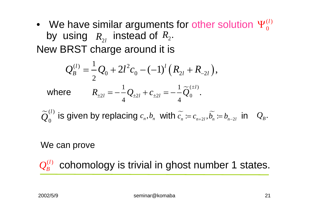#### • We have similar arguments for other solution  $\Psi^{(l)}_0$ by using  $\,R_{\scriptscriptstyle\gamma_I}\,$  instead of  $R_{\scriptscriptstyle 2}$ New BRST charge around it is 0 $\Psi_\alpha^{(l)}$  $R_{\rm_{2l}}$  instead of  $R_{\rm_{2}}.$

$$
Q_B^{(l)} = \frac{1}{2}Q_0 + 2l^2c_0 - (-1)^l(R_{2l} + R_{2l}),
$$
  
where 
$$
R_{\pm 2l} = -\frac{1}{4}Q_{\pm 2l} + c_{\pm 2l} = -\frac{1}{4}\widetilde{Q}_0^{(\pm l)}.
$$

 $\sim$ (l) 0 $\widetilde{\bm{Q}}^{(l)}_{0}$  is given by replacing  $c_{_{n}},b_{_{n}}$  with  $\widetilde{c_{_{n}}}\coloneqq c_{_{n+2l}},\widetilde{b_{_{n}}}$ is given by replacing  $c_{\scriptscriptstyle n}, b_{\scriptscriptstyle n}$  with  $c_{\scriptscriptstyle n} \coloneqq c_{\scriptscriptstyle n+2l}, b_{\scriptscriptstyle n} \coloneqq b_{\scriptscriptstyle n-2l}$  in  $\quad_{{\cal Q}_{\scriptscriptstyle B}}.$ 

#### We can prove

cohomology is trivial in ghost number 1 states.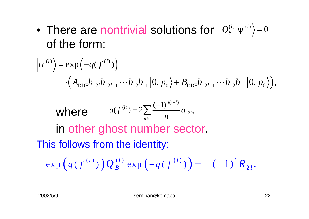• There are nontrivial solutions for  $\mathcal{Q}_{B}^{(l)} | \psi^{(l)} \rangle = 0$ of the form:

$$
\left|\psi^{(l)}\right\rangle = \exp\left(-q(f^{(l)})\right)
$$

$$
\cdot\left(A_{\text{DDF}}b_{-2l}b_{-2l+1}\cdots b_{-2}b_{-1}\right|0,p_{0}\right\rangle + B_{\text{DDF}}b_{-2l+1}\cdots b_{-2}b_{-1}\left|0,p_{0}\right\rangle),
$$

**where** 
$$
q(f^{(l)}) = 2 \sum_{n \geq 1} \frac{(-1)^{n(1+l)}}{n} q_{-2ln}
$$

in other ghost number sector. This follows from the identity:

$$
\exp\left(q(f^{(l)})\right)Q_B^{(l)}\exp\left(-q(f^{(l)})\right) = -(-1)^l R_{2l}.
$$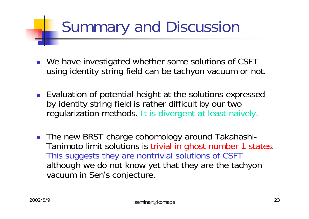# Summary and Discussion

- We have investigated whether some solutions of CSFT using identity string field can be tachyon vacuum or not.
- **Exaluation of potential height at the solutions expressed** by identity string field is rather difficult by our two regularization methods. It is divergent at least naively.
- The new BRST charge cohomology around Takahashi-Tanimoto limit solutions is trivial in ghost number 1 states. This suggests they are nontrivial solutions of CSFT although we do not know yet that they are the tachyon vacuum in Sen's conjecture.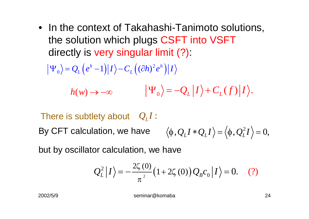• In the context of Takahashi-Tanimoto solutions, the solution which plugs CSFT into VSFT directly is very singular limit (?):

$$
|\Psi_0\rangle = Q_L (e^h - 1) |I\rangle - C_L ((\partial h)^2 e^h) |I\rangle
$$

$$
h(w) \to -\infty \qquad |\Psi_0\rangle = -Q_L |I\rangle + C_L(f)|I\rangle.
$$

There is subtlety about  $\mathcal{Q}_L I$  : By CFT calculation, we have 2  $\langle \phi, Q_{L}I * Q_{L}I \rangle = \langle \phi, Q_{L}^{2}I \rangle = 0,$ 

but by oscillator calculation, we have

$$
Q_L^2 |I\rangle = -\frac{2\zeta(0)}{\pi^2} (1 + 2\zeta(0)) Q_B c_0 |I\rangle = 0. \quad (?)
$$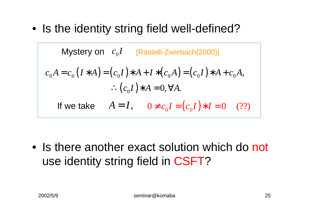• Is the identity string field well-defined?

Mystery on 
$$
c_0I
$$
 [Rastelli-Zwiebach(2000)]

\n
$$
c_0A = c_0(I*A) = (c_0I)*A + I*(c_0A) = (c_0I)*A + c_0A,
$$
\n
$$
\therefore (c_0I)*A = 0, \forall A.
$$
\nIf we take  $A = I$ ,  $0 \neq c_0I = (c_0I)*I = 0$  (??)

• Is there another exact solution which do not use identity string field in CSFT?